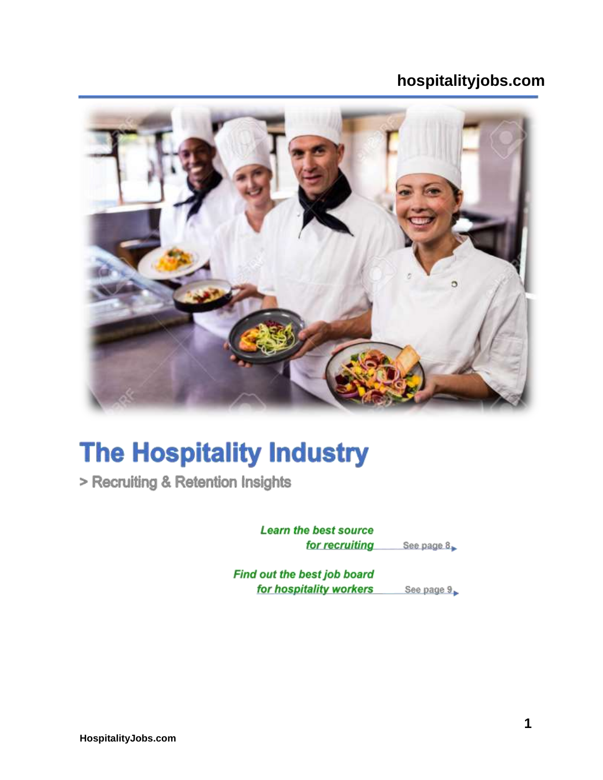# **hospitalityjobs.com**



# **The Hospitality Industry**

> Recruiting & Retention Insights

**Learn the best source** See page 8 for recruiting

Find out the best job board for hospitality workers See page 9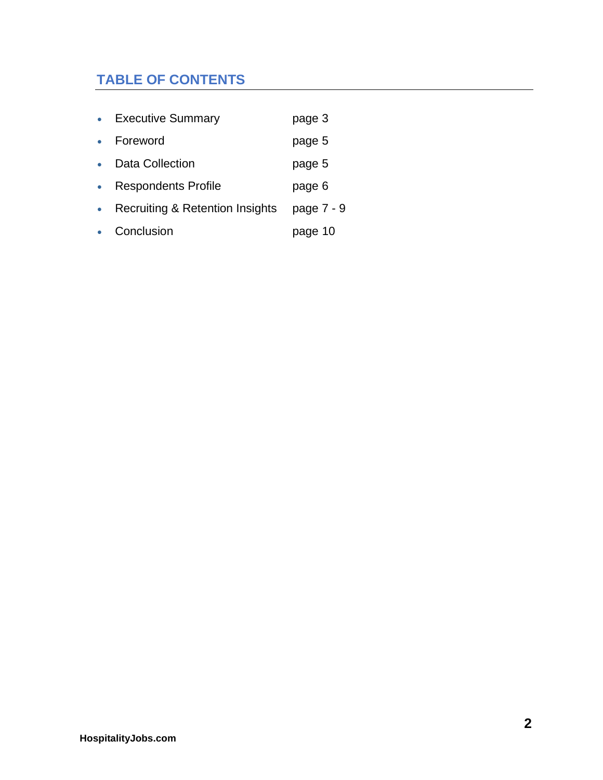# **TABLE OF CONTENTS**

| <b>Executive Summary</b>        | page 3     |
|---------------------------------|------------|
| Foreword                        | page 5     |
| Data Collection                 | page 5     |
| <b>Respondents Profile</b>      | page 6     |
| Recruiting & Retention Insights | page 7 - 9 |
| Conclusion                      | page 10    |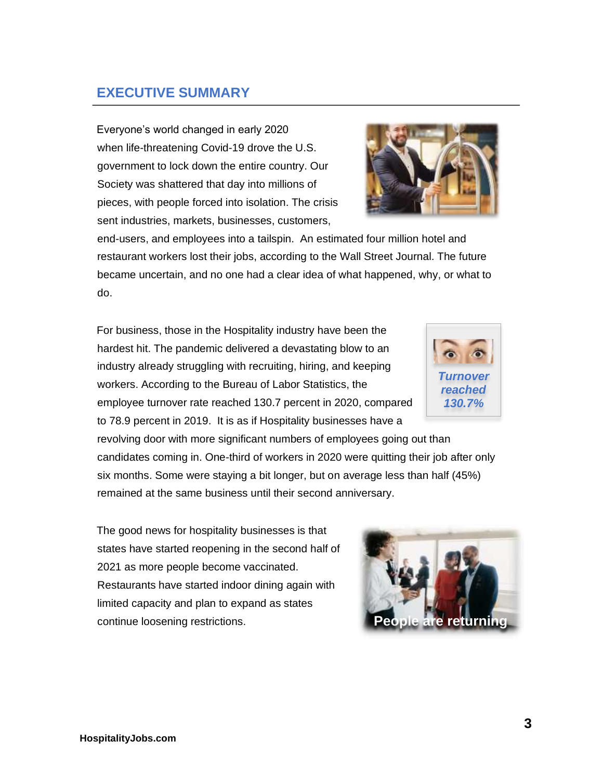Everyone's world changed in early 2020 when life-threatening Covid-19 drove the U.S. government to lock down the entire country. Our Society was shattered that day into millions of pieces, with people forced into isolation. The crisis sent industries, markets, businesses, customers,

end-users, and employees into a tailspin. An estimated four million hotel and restaurant workers lost their jobs, according to the Wall Street Journal. The future became uncertain, and no one had a clear idea of what happened, why, or what to do.

For business, those in the Hospitality industry have been the hardest hit. The pandemic delivered a devastating blow to an industry already struggling with recruiting, hiring, and keeping workers. According to the Bureau of Labor Statistics, the employee turnover rate reached 130.7 percent in 2020, compared to 78.9 percent in 2019. It is as if Hospitality businesses have a

revolving door with more significant numbers of employees going out than candidates coming in. One-third of workers in 2020 were quitting their job after only six months. Some were staying a bit longer, but on average less than half (45%) remained at the same business until their second anniversary.

The good news for hospitality businesses is that states have started reopening in the second half of 2021 as more people become vaccinated. Restaurants have started indoor dining again with limited capacity and plan to expand as states continue loosening restrictions.

# **EXECUTIVE SUMMARY**



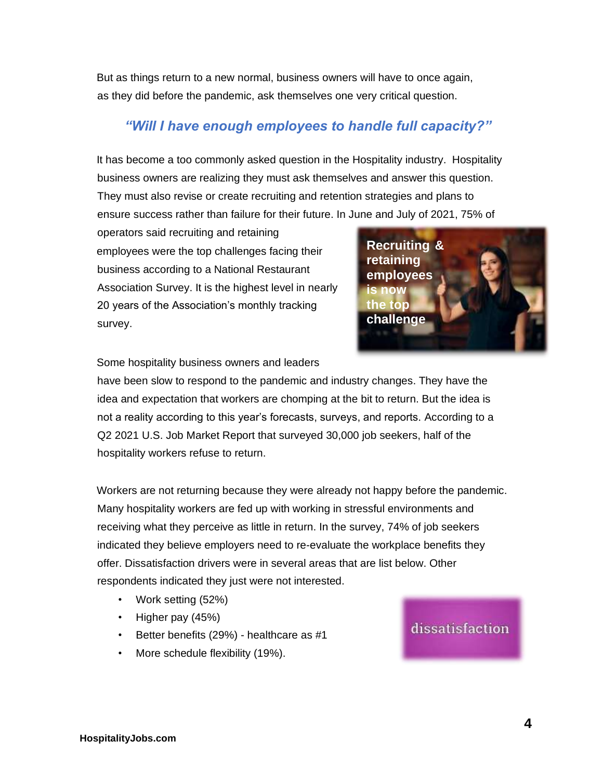But as things return to a new normal, business owners will have to once again, as they did before the pandemic, ask themselves one very critical question.

## *"Will I have enough employees to handle full capacity?"*

It has become a too commonly asked question in the Hospitality industry. Hospitality business owners are realizing they must ask themselves and answer this question. They must also revise or create recruiting and retention strategies and plans to ensure success rather than failure for their future. In June and July of 2021, 75% of

operators said recruiting and retaining employees were the top challenges facing their business according to a National Restaurant Association Survey. It is the highest level in nearly 20 years of the Association's monthly tracking survey.



Some hospitality business owners and leaders

have been slow to respond to the pandemic and industry changes. They have the idea and expectation that workers are chomping at the bit to return. But the idea is not a reality according to this year's forecasts, surveys, and reports. According to a Q2 2021 U.S. Job Market Report that surveyed 30,000 job seekers, half of the hospitality workers refuse to return.

Workers are not returning because they were already not happy before the pandemic. Many hospitality workers are fed up with working in stressful environments and receiving what they perceive as little in return. In the survey, 74% of job seekers indicated they believe employers need to re-evaluate the workplace benefits they offer. Dissatisfaction drivers were in several areas that are list below. Other respondents indicated they just were not interested.

- Work setting (52%)
- Higher pay (45%)
- Better benefits (29%) healthcare as #1
- More schedule flexibility (19%).

## dissatisfaction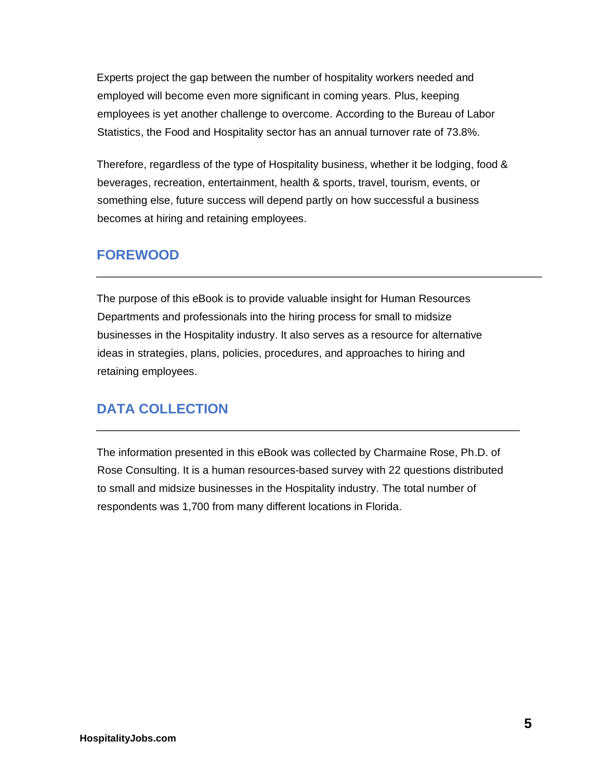Experts project the gap between the number of hospitality workers needed and employed will become even more significant in coming years. Plus, keeping employees is yet another challenge to overcome. According to the Bureau of Labor Statistics, the Food and Hospitality sector has an annual turnover rate of 73.8%.

Therefore, regardless of the type of Hospitality business, whether it be lodging, food & beverages, recreation, entertainment, health & sports, travel, tourism, events, or something else, future success will depend partly on how successful a business becomes at hiring and retaining employees.

## **FOREWOOD**

The purpose of this eBook is to provide valuable insight for Human Resources Departments and professionals into the hiring process for small to midsize businesses in the Hospitality industry. It also serves as a resource for alternative ideas in strategies, plans, policies, procedures, and approaches to hiring and retaining employees.

## **DATA COLLECTION**

The information presented in this eBook was collected by Charmaine Rose, Ph.D. of Rose Consulting. It is a human resources-based survey with 22 questions distributed to small and midsize businesses in the Hospitality industry. The total number of respondents was 1,700 from many different locations in Florida.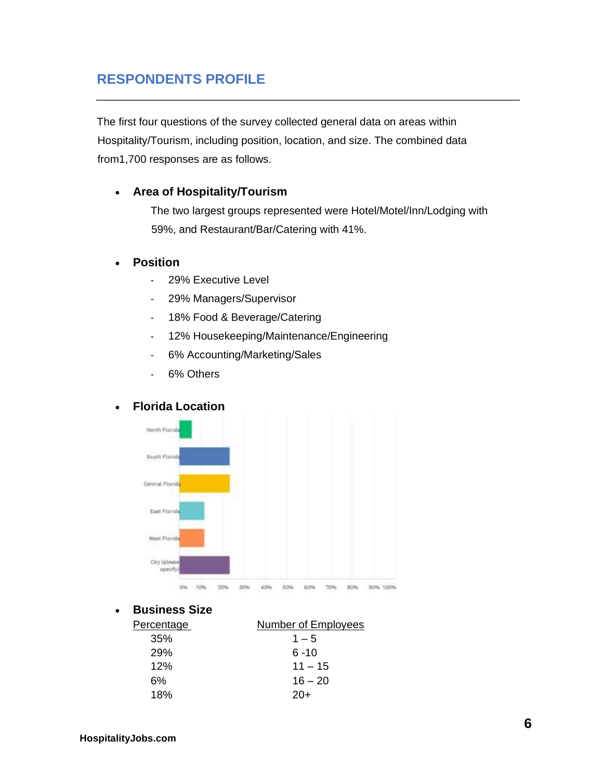## **RESPONDENTS PROFILE**

The first four questions of the survey collected general data on areas within Hospitality/Tourism, including position, location, and size. The combined data from1,700 responses are as follows.

#### • **Area of Hospitality/Tourism**

The two largest groups represented were Hotel/Motel/Inn/Lodging with 59%, and Restaurant/Bar/Catering with 41%.

#### • **Position**

- 29% Executive Level
- 29% Managers/Supervisor
- 18% Food & Beverage/Catering
- 12% Housekeeping/Maintenance/Engineering
- 6% Accounting/Marketing/Sales
- 6% Others

#### • **Florida Location**



#### • **Business Size**

| <b>Number of Employees</b> |  |
|----------------------------|--|
| $1 - 5$                    |  |
| $6 - 10$                   |  |
| $11 - 15$                  |  |
| $16 - 20$                  |  |
| 20+                        |  |
|                            |  |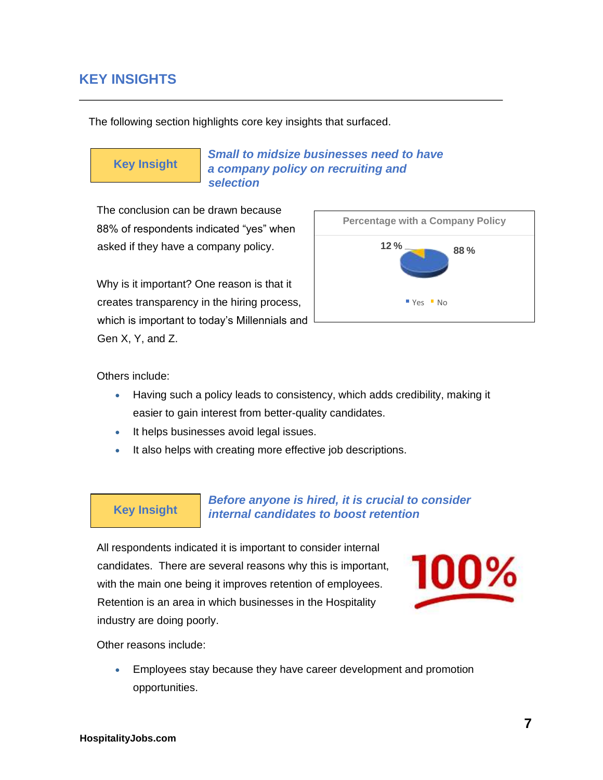## **KEY INSIGHTS**

The following section highlights core key insights that surfaced.

# **Key Insight**

*Small to midsize businesses need to have a company policy on recruiting and selection* 

The conclusion can be drawn because 88% of respondents indicated "yes" when asked if they have a company policy.

Why is it important? One reason is that it creates transparency in the hiring process, which is important to today's Millennials and Gen X, Y, and Z.



Others include:

- Having such a policy leads to consistency, which adds credibility, making it easier to gain interest from better-quality candidates.
- It helps businesses avoid legal issues.
- It also helps with creating more effective job descriptions.

## **Key Insight**

#### *Before anyone is hired, it is crucial to consider internal candidates to boost retention*

All respondents indicated it is important to consider internal candidates. There are several reasons why this is important, with the main one being it improves retention of employees. Retention is an area in which businesses in the Hospitality industry are doing poorly.



Other reasons include:

• Employees stay because they have career development and promotion opportunities.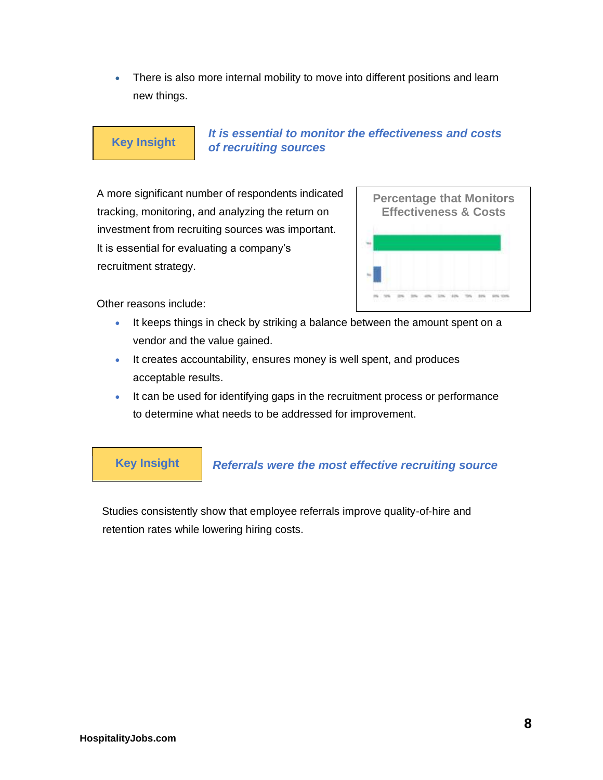• There is also more internal mobility to move into different positions and learn new things.

## **Key Insight**

#### *It is essential to monitor the effectiveness and costs of recruiting sources*

A more significant number of respondents indicated tracking, monitoring, and analyzing the return on investment from recruiting sources was important. It is essential for evaluating a company's recruitment strategy.



Other reasons include:

- It keeps things in check by striking a balance between the amount spent on a vendor and the value gained.
- It creates accountability, ensures money is well spent, and produces acceptable results.
- It can be used for identifying gaps in the recruitment process or performance to determine what needs to be addressed for improvement.

**Key Insight** 

#### *Referrals were the most effective recruiting source*

Studies consistently show that employee referrals improve quality-of-hire and retention rates while lowering hiring costs.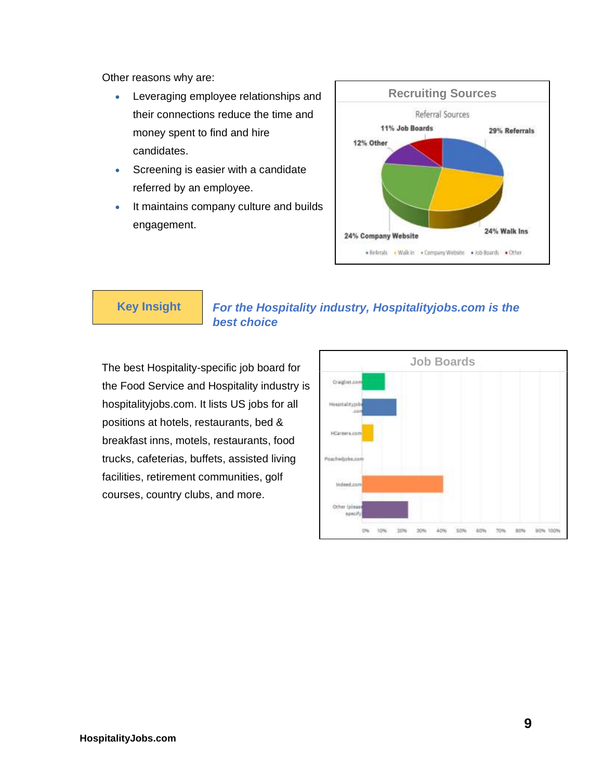Other reasons why are:

- Leveraging employee relationships and their connections reduce the time and money spent to find and hire candidates.
- Screening is easier with a candidate referred by an employee.
- It maintains company culture and builds engagement.



### **Key Insight**

#### *For the Hospitality industry, Hospitalityjobs.com is the best choice*

The best Hospitality-specific job board for the Food Service and Hospitality industry is hospitalityjobs.com. It lists US jobs for all positions at hotels, restaurants, bed & breakfast inns, motels, restaurants, food trucks, cafeterias, buffets, assisted living facilities, retirement communities, golf courses, country clubs, and more.

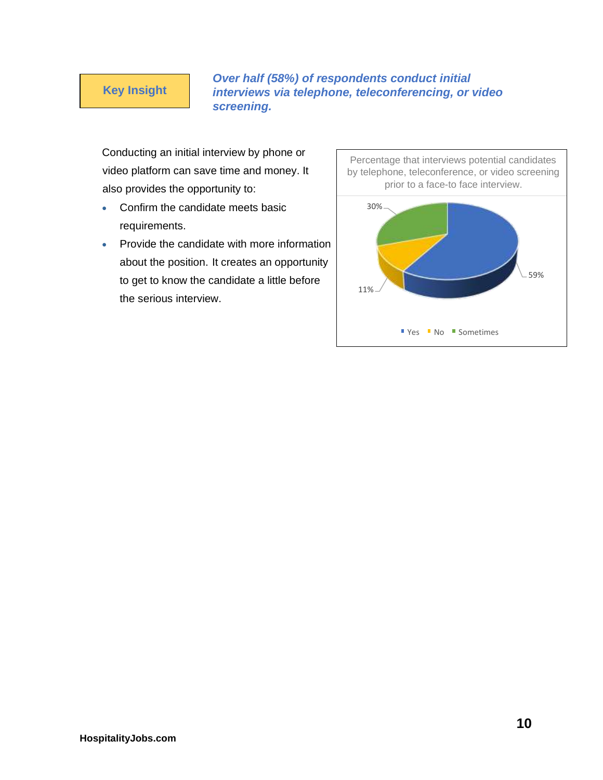#### **Key Insight**

*Over half (58%) of respondents conduct initial interviews via telephone, teleconferencing, or video screening.* 

Conducting an initial interview by phone or video platform can save time and money. It also provides the opportunity to:

- Confirm the candidate meets basic requirements.
- Provide the candidate with more information about the position. It creates an opportunity to get to know the candidate a little before the serious interview.

Percentage that interviews potential candidates by telephone, teleconference, or video screening prior to a face-to face interview. 59% 11% 30% ■ Yes ■ No ■ Sometimes